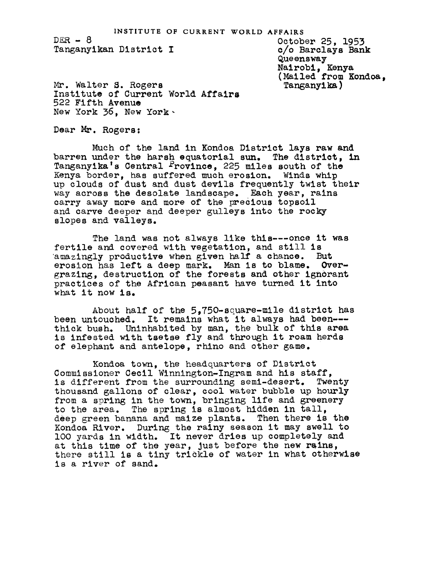INSTITUTE OF CURRENT WORLD AFFAIRS<br>October 25, 1953

 $DER - 8$ Tanganyikan District

c/o Barclays Bank Queensway Nairobi, Kenya (Mailed from Kondoa. Tanganylka )

Mr. Walter S. Rogers Institute of Current World Affairs 522 Fifth Avenue New York 36, New York

Dear Mr. Rogers:

Much of the land in Kondoa District lays raw and barren under the harsh equatorial sun. The district, in Tanganyika's Central Province, 225 miles south of the Kenya border, has suffered much erosion. Winds whip up clouds of dust and dust devils frequently twist their way across the desolate landscape. Each year, rains carry away more and more of the precious topsoil and carve deeper and deeper gulleys into the rocky slopes and valleys.

The land was not always like thls---once it was fertile and covered with vegetation, and still is<br>amazingly productive when given half a chance. But amazingly productive when given half a chance. erosion has left a deep mark. Man is to blame. Overgrazing, destruction of the forests and other ignorant practices of the African peasant have turned it into what it now is.

About half of the 5,750-square-mile district has been untouched. It remains what it always had been-- thick bush. Uninhabited by man, the bulk of this area is infested with tsetse fly and through it roam herds of elephant and antelope, rhino and other game.

Kondoa town, the headquarters of District Commissioner Cecil Winnington-Ingram and his staff, is different from the surrounding seml-desert. Twenty thousand gallons of clear, cool water bubble up hourly from a spring in the town, bringing life and greenery to the area. The spring is almost hidden in tall, deep green banana and maize plants. Then there is the Kondoa River. During the rainy season it may swell to lOO yards in width. It never dries up completely and at this time of the year, just before the new rains, there still is a tiny trickle of water in what otherwise is a river of sand.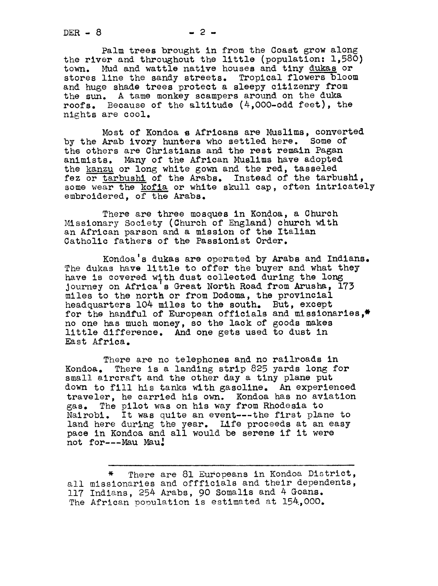$DER - 8$   $-2$   $-$ 

Palm trees brought in from the Coast grow along the river and throughout the little (population: 1,580) town. Mud and wattle native houses and tiny dukas or stores line the sandy streets. Tropical flowers bloom and huge shade trees protect a sleepy citizenry from the sun. A tame monkey scampers around on the duka roofs. Because of the altitude (4,000-odd feet), the nights are cool.

Most of Kondoa a Africans are Muslims, converted by the Arab ivory hunters who settled here. Some of the others are Christians and the rest remain Pagan animists. Many of the African Muslims have adopted the kanzu or long white gown and the red, tasseled fez or tarbushl of the Arabs. Instead of the tarbushl, some wear the kofia or white skull cap, often intricately embroidered, of the Arabs.

There are three mosques in Kondoa, a Church Missionary Society (Church of England) church with an African parson and a mission of the Italian Catholic fathers of the Passionist Order.

Kondoa's dukas are operated by Arabs and Indians. The dukas have little to offer the buyer and what they have is covered with dust collected during the long Journey on Africa's Great North Road from Arusha, 173 miles to the north or from Dodoma, the provincial headquarters 104 miles to the south. But, except for the handful of European officials and missionaries,\* no one has much money, so the lack of goods makes little difference. And one gets used to dust in East Africa.

There are no telephones and no railroads in Kondoa. There is a landing strip 825 yards long for small aircraft and the other day a tiny plane put down to fill his tanks with gasoline. An experienced traveler, he carried his own. Kondoa has no aviation 8as. The pilot was on his way from Rhodesia to Nairobi. It was quite an event---the first plane to land here during the year. Life proceeds at an easy pace in Kondoa and all would be serene if it were not for---Mau Mau:

<sup>\*</sup> There are 81 Europeans in Kondoa District, all missionaries and offficials and their dependents, ll7 Indians, 254 Arabs, 90 Somalis and # Goans. The African population is estimated at 154.000.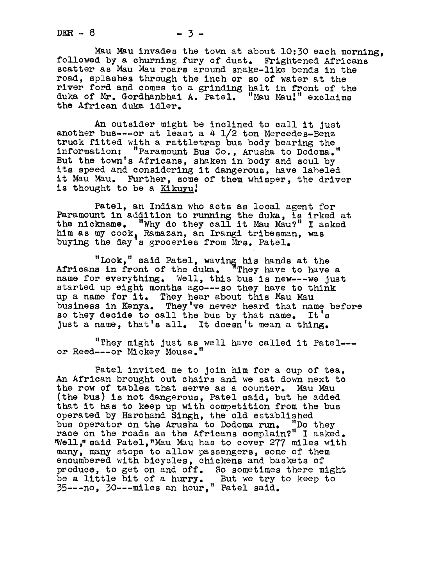$DER - 8$   $-3$   $-3$ 

Mau Mau invades the town at about 10:30 each morning, followed by a churning fury of dust. Frightened Africans scatter as Mau Mau roars around snake-like bends in the road, splashes through the inch or so of water at the river ford and comes to a grinding halt in front of the duka of Mr. Gordhanbhai A. Patel. "Mau Mau.'" exclaims the African duka idler.

An outsider might be inclined to call it Just another bus---or at least a  $4$   $1/2$  ton Mercedes-Benz truck fitted with a rattletrap bus body bearing the information: "Paramount Bus Co., Arusha to Dodoma." But the town's Africans, shaken in body and soul by its speed and considering it dangerous, have labeled it Mau Mau. Further, some of them whisper, the driver is thought to be a Kikuyu!

Patel, an Indian who acts as local agent for Paramount in addition to running the duka, is irked at the nickname. "Why do they call it Mau Mau?" I asked him as my cook, Ramazan, an Irangi tribesman, was<br>buying the day's groceries from Mrs. Patel.

"Look," said Patel, waving his hands at the Africans in front of the duka. "They have to have a name for everything. Well, this bus is new---we Just started up eight months ago---so they have to think up a name for it. They hear about this Mau Mau business in Kenya. They've never heard that name before so they decide to call the bus by that name. It's just a name, that's all. It doesn't mean a thing.

"They might just as well have called it Patel--or Reed---or Mickey Mouse."

Patel invited me to Join him for a cup of tea. An African brought out chairs and we sat down next to the row of tables that serve as a counter. Mau Mau (the bus) is not dangerous, Patel said, but he added that it has to keep up with competition from the bus operated by Harchand Singh, the old established bus operator on the Arusha to Dodoma run. "Do they race on the roads as the Africans complain?" I asked. Well," said Patel, "Mau Mau has to cover 277 miles with many, many stops to allow passengers, some of them encumbered with bicycles, chickens and baskets of produce, to get on and off. So sometimes there might be a little bit of a hurry. But we try to keep to 35---no, 30---miles an hour," Patel said.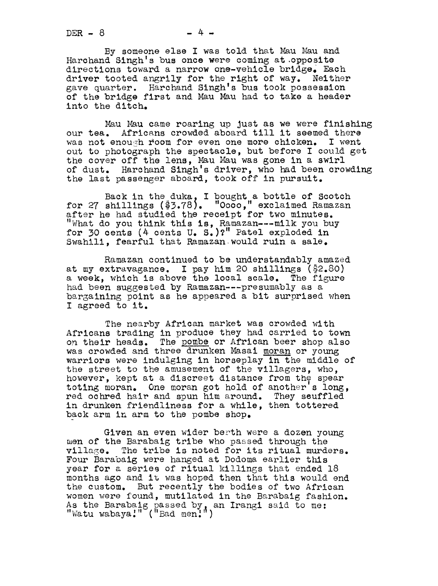$DER - 8 - 4 -$ 

By someone else I was told that Mau Mau and Harchand Singh's bus once were coming at .opposite directions toward a narrow one-vehicle bridge. Each driver tooted angrily for the right of way. Neither ave quarter. Harchand Singh's bus took possession of the bridge first and Mau Mau had to take a header into the ditch.

Mau Mau came roaring up Just as we were finishing our tea. Africans crowded aboard till it seemed there was not enough room for even one more chicken. I went out to photograph the spectacle, but before I could get the cover off the lens, Mau Mau was gone in a swirl of dust. Harchand Slngh's driver, who had been crowding the last passenger aboard, took off in pursuit.

Back in the duka, I bought a bottle of Scotch for 27 shillings (\$3.781. "0ooo," exclaimed Ramazan after he had studied the receipt for two minutes. "What do you think this is, Ramazan---milk you buy for 30 cents (4 cents U. S.)?" Patel exploded in Swahili, fearful that Ramazan-would ruin a sale.

Ramazan continued to be understandably amazed at my extravagance. I pay him 20 shillings (\$2.80) a week, which is above the local scale. The figure had been suggested by Ramazan---presumably as a bargaining point as he appeared a bit surprised when I agreed to it.

The nearby African market was crowded with Africans trading in produce they had carried to town On their heads. The pombe or African beer shop also was crowded and three drunken Masai moran or young warriors were Indulging in horseplay in the middle of the street to the amusement of the villagers, who, however, kept at a discreet distance from the spear toting moran. One moran got hold of another's long, red ochred hair and spun him around. They seuffled in drunken friendliness for a while, then tottered back arm in arm to the pombe shop.

Given an even wider berth were a dozen young men of the Barabaig tribe who pased through the village. The tribe is noted for its ritual murders. Four Barabaig were hanged at Dodoma earlier this year for a series of ritual killings that ended 18 months ago and it was hoped then that this would end the custom. But recently the bodies of two African women were found, mutilated in the Barabaig fashion. As the Barabaig passed by, an Irangi said to me:<br>"Watu wabaya!" ("Bad men:")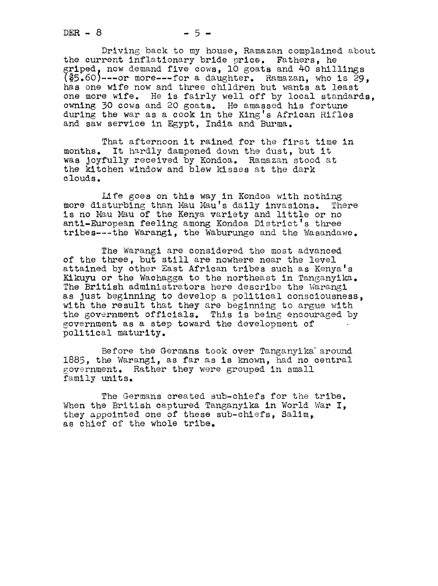$DER - 8$   $-5 -$ 

Driving back to my house, Ramazan complained about the current inflationary bride price. Fathers, he griped, now demand five cows. 10 goats and 40 shillings  $(5.60)$ ---or more---for a daughter. Ramazan, who is 29, has one wife now and three children but wants at least one more wife. He is fairly well off by local standards, owning 30 cows and 20 goats. He amassed his fortune during the war as a cook in the King's African Rifles and saw service in Egypt, India and Burma.

That afternoon it rained for the first time in months. It hardly dampened down the dust, but it was Joyfully received by Kondoa. Ramazan stood at the kitchen window and blew kisses at the dark clouds.

Life goes on this way in Kondoa wlth nothing more disturbing than Mau Mau's daily invasions. There more disturbing than Mau Mau's daily invasions. This no Mau Mau of the Kenya variety and little or no<br>anti-European feeling among Kondoa District's three tribes---the Warangi, the Waburunge and the Wasandawe.

The Warangi are considered the most advanced of the three, but still are nowhere near the level attained by other East African tribes such as Kenya's Kikuyu or the Wachagga to the northeast in Tanganyika. The British administrators here describe the Warangi as just beginning to develop a political consciousness. with the result that they are beginning to argue with the government officials. This is being encouraged by government as a step toward the development of political maturity.

Before the Germans took over Tanganyika' around 1883, the Warangi, as far as is known, had no central government. Rather they were grouped in small family units.

The Germans created sub-chiefs for the tribe. When the British captured Tanganyika in World War I. they appointed one of these sub-chiefs, Salim, as chief of the whole tribe.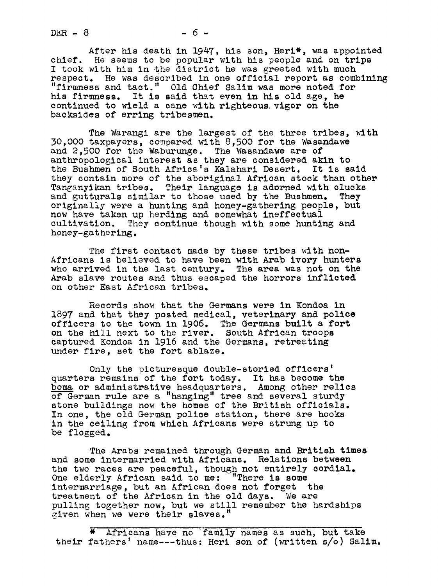$DER - 8$  -6-

After his death in 1947, his son, Heri\*, was appointed chief. He seems to be popular with his people and on trips I took with him in the district he was greeted with much respect. He was described in one official report as combining "firmness and tact." Old Chief Salim was more noted for his firmness. It is said that even in his old age, he continued to wield a cane with righteous vigor on the backsides of erring tribesmen.

The Warangi are the largest of the three tribes, with 30,0OO taxpayers, compared with 8,500 for the Wasandawe and 2,500 for the Waburunge. The Wasandawe are of anthropological interest as they are considered akin to the Bushmen of South Africa's Kalahari Desert. It is said they contain more of the aboriginal African stock than other Tanganyikan tribes. Their language is adorned with clucks and gutturals similar to those used by the Bushmen. They originally were a hunting and honey-gathering people, but now have taken up herding and somewhat ineffectual cultivation. They continue though with some hunti They continue though with some hunting and honey-gathering.

The first contact made by these tribes with non-Africans is believed to have been with Arab ivory hunters who arrived in the last century. The area was not on the Arab slave routes and thus escaped the horrors inflicted on other East African tribes.

Records show that the Germans were in Kondoa in 1897 and that they posted medical, veterinary and police officers to the town in 1906. The Germans built a fort on the hill next to the river. South African troops captured Kondoa in 1916 and the Germans, retreating under fire, set the fort ablaze.

Only the picturesque double-storied officers' quarters remains of the fort today. It has become the boma or administrative headquarters. Among other relics of German rule are a "hanging" tree and several sturdy stone buildings now the homes of the British officials. In one, the old German police station, there are hooks in the ceiling from which Africans were strung up to be flogged.

The Arabs remained through German and British times and some intermarried with Africans. Relations between the two races are peaceful, though not entirely cordial.<br>One elderly African said to me: "There is some One elderly African said to me: intermarriage, but an African does not forget the treatment of the African in the old days. We are pulling together now, but we still remember the hardships given when we were their slaves."

Africans have no family names as such, but take their fathers' name---thus: Heri son of (written s/o) Salim.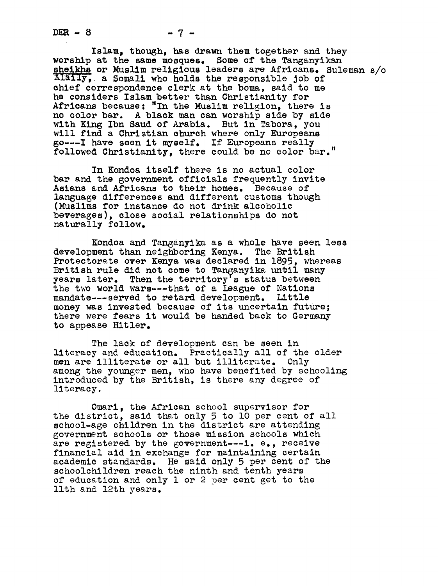Islam, though, has drawn them together and they worship at the same mosques. Some of the Tanganyikan sheikhs or Muslim religious leaders are Africans. Suleman s/o Alaily, a Somali who holds the responsible job of chief correspondence clerk at the boma, said to me he considers Islam better than Christianity for Africans because: "In the Muslim religion, there is no color bar. A black man can worship side by side with King Ibn Saud of Arabia. But in Tabora, you will find a Christian church where only Europeans 6o---I have seen it myself. If Europeans really followed Christianity, there could be no color bar."

In Kondoa itself there is no actual color bar and the government officials frequently invite Asians and Africans to their homes. Because of language differences and different customs though (Muslims for instance do not drink alcoholic beverages), close social relationships do not naturally follow.

Kondoa and Tanganyika as a whole have seen less development than neighboring Kenya. The British Protectorate over Kenya was declared in 1895, whereas British rule did not come to Tanganyika until many years later. Then the territory's status between the two world wars---that of a League of Nations mandate---served to retard development. Little money was invested because of its uncertain future; there were fears it would be handed back to Germany to appease Hitler.

The lack of development can be seen in literacy and education. Practically all of the older men are illiterate or all but illiterate. Only among the younger men, who have benefited by schooling introduced by the British, is there any degree of literacy.

Omarl, the African school supervisor for the district, said that only 5 to lO per cent of all school-age children in the district are attending Eovernment schools or those mission schools which are registered by the government---i, e., receive financial aid in exchange for maintaining certain academic standards. He said only 5 per cent of the schoolchildren reach the ninth and tenth years of education and only  $1$  or  $2$  per cent get to the llth and 12th years.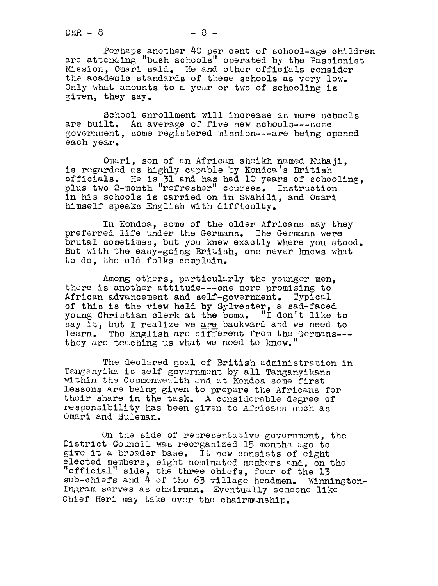$DER - 8$  -8 -8 -

Perhaps another 40 per cent of school-age children are attending "bush schools" operated by the Passionist Mission, Omari said. He and other officials consider the academic standards of these schools as very low. Only what amounts to a yesr or two of schooling is given, they say.

School enrollment will increase as more schools are built. An average of five new schools---some government, some registered mission---are being opened each year.

Omari, son of an African sheikh named Muhaji, is regarded as highly capable by Kondoa's British officials. He is 31 and has had lO years of schooling, plus two 2-month "refresher" courses. Instruction in his schools is carried on in Swahili, and Omari himself speaks English with difficulty.

In Kondoa, some of the older Africans say they preferred llfe under the Germans. The Germans were brutal sometimes, but you knew exactly where you stood. But with the easy-golng British, one never knows what to do, the old folks complain.

Among others, particularly the younger men. there is another attitude---one more promising to African advancement and self-government. Typical of this is the view held by Sylvester, a sad-faced young Christian clerk at the boms. "I don't like to say it, but I realize we are backward and we need to learn. The English are different from the Germans-- they are teaching us what we need to know."

The declared goal of British administration in Tanganyika is self government by all Tanganyikans within the Commonwealth and at Kondoa some first lessons are being given to prepare the Africans for their share in the task. A considerable degree of responsibility has been given to Africans such as Omari and Suleman.

On the side of representative government, the District Council was reorganized 15 months ago to give it a broader base. It now consists of eight elected members, eight nominated members and, on the "official" side, the three chiefs, four of the 13 sub-chiefs and 4 of the 63 village headmen. Winnington-Ingram serves as chairman. Eventually someone like Chief Heri may take over the chairmanship.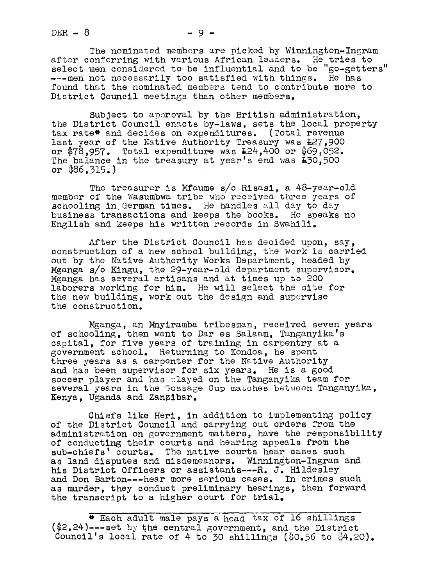$DER - 8$  -9-

The nominated members are picked by Winnington-Ingram after conferring with various African leaders. He tries to select men considered to be influential and to be "go-getters ---men not necessarily too satisfied with things. He has found that the nominated members tend to contribute more to District Council meetings than other members.

Subject to approval by the British administration, the District Council enacts by-laws, sets the local property tax rate\* and decides on expenditures. (Total revenue last year of the Native Authority Treasury was  $E27,900$ or  $$78,957$ . Total expenditure was  $L24,400$  or  $$69,052$ . The balance in the treasury at year's end was £30,500 or \$86,315. )

The treasurer is Mfaume s/o Risasi, a 48-year-old member of the Wasumbwa tribe who received three years of schooling in German times. He handles all day to day business transactions and keeps the books. He speaks no English and keeps his written records in Swahill.

After the District Council has decided upon, say, construction of a new school building, the work is carried out by the Native Authority Works Department, headed by Mganga s/o Kingu, the 29-year-old department supervisor. Mganga has several artisans and at times up to 200 laborers working for him. He will select the site for the new building, work out the design and supervise the construction.

Mganga, an Mnyiramba tribesman, received seven years of schooling, then went to Dar es Salaam, Tanganyika's capital, for five years of training in carpentry at a government school. Returning to Kondoa, he spent three years as a carpenter for the Native Authority and has been supervisor for six years. He is a good soccer player and has played on the Tanganyika team for several years in the Gossage Cup matches between Tanganyika, Kenya, Uganda and Zanzibar.

Chiefs like Herl, in addition to implementing policy of the District Council and carrying out orders from the administration on government matters, have the responsibility of conducting their courts and hearing appeals from the sub-chiefs' courts. The native courts hear cases such as land disputes and misdemeanors. Winnington-Ingram and his District Officers or assistants---R. J. Hildesley and Don Barton---hear more serious cases. In crimes such as murder, they conduct preliminary hearings, then forward the transcript to a higher court for trial.

\* Each adult male pays a head tax of 16 shillings  $(*2.24)$ ---set by the central government, and the District Council's local rate of 4 to 30 shillings ( $$0.56$  to  $$4.20$ ).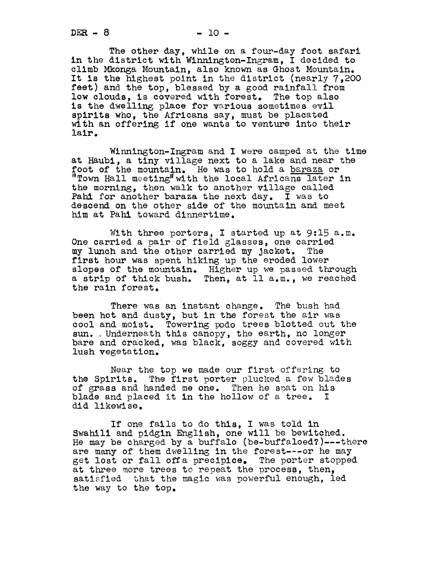The other day, while on a four-day foot safari in the district with Winnlngton-Ingram, I decided to climb Mkonga Mountain, also known as Ghost Mountain. It is the highest point in the district (nearly 7,200 feet) and the top, blessed by a good rainfall from low clouds, is covered with forest. The top also is the dwelling place for various sometimes evil spirits who, the Africans say, must be placated with an offering if one wants to venture into their lair.

Winnington-Ingram and I were camped at the time at Haubi, a tiny village next to a lake and near the foot of the mountain. He was to hold a baraza or "Town Hall meeting"with the local Africans later in the morning, then walk to another village called Pahl for another baraza the next day. I was to descend on the other side of the mountain and meet him at Pahl toward dinnertime.

With three porters, I started up at 9:15 a.m. One carried a pair of field glasses, one carried my lunch and the other carried my Jacket. The first hour was spent hiking up the eroded lower slopes of the mountain. Higher up we passed through a strip of thick bush. Then, at ll a.m., we reached the rain forest.

There was an instant change. The bush had been hot and dusty, but in the forest the air was cool and moist. Towering podo trees blotted out the sun. Underneath this canopy, the earth, no longer bare and cracked, was black, soggy and covered with lush vegetation.

Near the top we made our first offering to the Spirits. The first porter plucked a few blades of grass and handed me one. Then he spat on his blade and placed it in the hollow of a tree. I dld llkewi se.

If one fails to do this, I was told in Swahili and pidgin English, one will be bewitched. He may be charged by a buffalo (be-buffaloed?)---there are many of them dwelling in the forest---or he may get lost or fall off a precipice. The porter stopped at three more trees to repeat the process, then, satisfied that the magic was powerful enough, led the way to the top.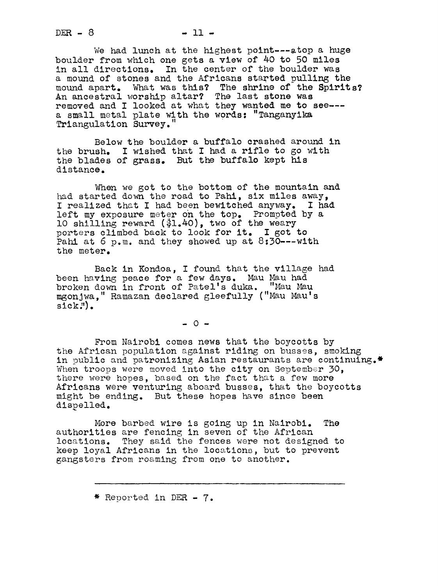$DER = 8$   $-11$   $-$ 

We had lunch at the highest point---atop a huge boulder from which one gets a view of 40 to 50 miles in all directions. In the center of the boulder was a mound of stones and the Africans started pulling the mound apart. What was this? The shrine of the Spirits? An ancestral worship altar? The last stone was removed and I looked at what they wanted me to see-- a small metal plate with the words: "Tanganyika Triangulation Survey.

Below the boulder a buffalo crashed around in the brush. I wished that <sup>I</sup> had a rifle to go with the blades of grass. But the buffalo kept his distance.

When we got to the bottom of the mountain and had started down the road to Pahi, six miles away, I realized that I had been bewitched anyway. I had left my exposure meter oh the top. Prompted by a lO shilling reward (\$1.40), two of the weary porters climbed back to look for it. I got to Pahi at 6 p.m. and they showed up at 8:30---with the meter.

Back in Kondoa, I found that the village had been having peace for a few days. Mau Mau had broken down in front of Patel's duka. "Mau Mau mgonjwa," Ramazan declared gleefully ("Mau Mau's  $sick$  $\cdot$ <sup>"</sup>).

 $-0-$ 

From Nairobi comes news that the boycotts by the African population against riding on busses, smoking in public and patronizing Asian restaurants are continuing.\* When troops were moved into the city on September 30, there were hopes, based on the fact that a few more Africans were venturing aboard busses, that the boycotts might be ending. But these hopes have since been dispelled.

More barbed wire is going up in Nairobi. The authorities are fencing in seven of the African locations. They said the fences were not designed to keep loyal Africans in the locations, but to prevent gangsters from roaming from one to another.

\* Reported in DER- 7.